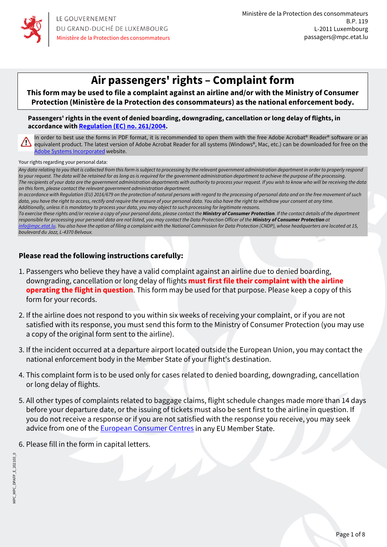

# **Air passengers' rights – Complaint form**

**This form may be used to file a complaint against an airline and/or with the Ministry of Consumer Protection (Ministère de la Protection des consommateurs) as the national enforcement body.**

**Passengers' rights in the event of denied boarding, downgrading, cancellation or long delay of flights, in accordance with [Regulation \(EC\) no. 261/2004.](https://eur-lex.europa.eu/legal-content/FR/TXT/?uri=celex:32004R0261)**

In order to best use the forms in PDF format, it is recommended to open them with the free Adobe Acrobat® Reader® software or an equivalent product. The latest version of Adobe Acrobat Reader for all systems (Windows®, Mac, etc.) can be downloaded for free on the [Adobe Systems Incorporated](https://get.adobe.com/reader/) website.

Your rights regarding your personal data:

*Any data relating to you that is collected from this form is subject to processing by the relevant government administration department in order to properly respond to your request. The data will be retained for as long as is required for the government administration department to achieve the purpose of the processing. The recipients of your data are the government administration departments with authority to process your request. If you wish to know who will be receiving the data on this form, please contact the relevant government administration department.* 

*In accordance with Regulation (EU) 2016/679 on the protection of natural persons with regard to the processing of personal data and on the free movement of such*  data, you have the right to access, rectify and require the erasure of your personal data. You also have the right to withdraw your consent at any time. *Additionally, unless it is mandatory to process your data, you may object to such processing for legitimate reasons.* 

To exercise these rights and/or receive a copy of your personal data, please contact the **Ministry of Consumer Protection**. If the contact details of the department responsible for processing your personal data are not listed, you may contact the Data Protection Officer of the **Ministry of Consumer Protection** at *[info@mpc.etat.lu](mailto:info@mpc.etat.lu). You also have the option of filing a complaint with the National Commission for Data Protection (CNDP), whose headquarters are located at 15, boulevard du Jazz, L-4370 Belvaux.*

#### **Please read the following instructions carefully:**

- 1. Passengers who believe they have a valid complaint against an airline due to denied boarding, downgrading, cancellation or long delay of flights **must first file their complaint with the airline operating the flight in question**. This form may be used for that purpose. Please keep a copy of this form for your records.
- 2. If the airline does not respond to you within six weeks of receiving your complaint, or if you are not satisfied with its response, you must send this form to the Ministry of Consumer Protection (you may use a copy of the original form sent to the airline).
- 3. If the incident occurred at a departure airport located outside the European Union, you may contact the national enforcement body in the Member State of your flight's destination.
- 4. This complaint form is to be used only for cases related to denied boarding, downgrading, cancellation or long delay of flights.
- 5. All other types of complaints related to baggage claims, flight schedule changes made more than 14 days before your departure date, or the issuing of tickets must also be sent first to the airline in question. If you do not receive a response or if you are not satisfied with the response you receive, you may seek advice from one of the [European Consumer Centres](https://www.europe-consommateurs.eu/en/ecc-net.html) in any EU Member State.
- 6. Please fill in the form in capital letters.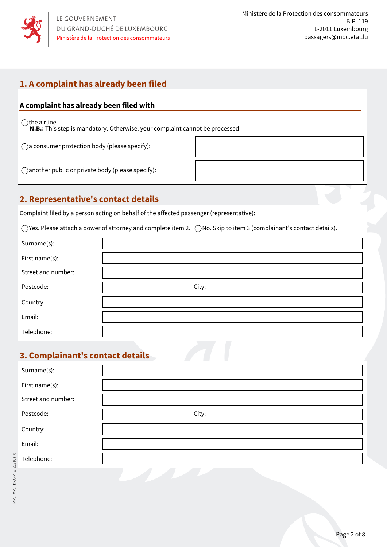

## **1. A complaint has already been filed**

#### **A complaint has already been filed with**

 $\bigcirc$ the airline

**N.B.:** This step is mandatory. Otherwise, your complaint cannot be processed.

 $\bigcap$  a consumer protection body (please specify):

another public or private body (please specify):

### **2. Representative's contact details**

Complaint filed by a person acting on behalf of the affected passenger (representative):

 $\bigcirc$  Yes. Please attach a power of attorney and complete item 2.  $\bigcirc$  No. Skip to item 3 (complainant's contact details).

| Surname(s):        |       |  |
|--------------------|-------|--|
| First name(s):     |       |  |
| Street and number: |       |  |
| Postcode:          | City: |  |
| Country:           |       |  |
| Email:             |       |  |
| Telephone:         |       |  |

### **3. Complainant's contact details**

| Surname(s):        |       |  |
|--------------------|-------|--|
| First name(s):     |       |  |
| Street and number: |       |  |
| Postcode:          | City: |  |
| Country:           |       |  |
| Email:             |       |  |
| Telephone:         |       |  |
|                    |       |  |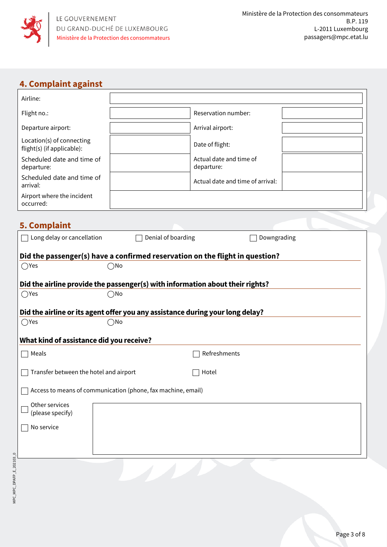

## **4. Complaint against**

| Airline:                                                                                        |                    |                                                                              |  |  |
|-------------------------------------------------------------------------------------------------|--------------------|------------------------------------------------------------------------------|--|--|
| Flight no.:                                                                                     |                    | Reservation number:                                                          |  |  |
| Departure airport:                                                                              |                    | Arrival airport:                                                             |  |  |
| Location(s) of connecting<br>flight(s) (if applicable):                                         |                    | Date of flight:                                                              |  |  |
| Scheduled date and time of<br>departure:                                                        |                    | Actual date and time of<br>departure:                                        |  |  |
| Scheduled date and time of<br>arrival:                                                          |                    | Actual date and time of arrival:                                             |  |  |
| Airport where the incident<br>occurred:                                                         |                    |                                                                              |  |  |
|                                                                                                 |                    |                                                                              |  |  |
| <b>5. Complaint</b>                                                                             |                    |                                                                              |  |  |
| Long delay or cancellation                                                                      | Denial of boarding | Downgrading                                                                  |  |  |
|                                                                                                 |                    | Did the passenger(s) have a confirmed reservation on the flight in question? |  |  |
| $\bigcirc$ Yes                                                                                  | $\bigcirc$ No      |                                                                              |  |  |
| Did the airline provide the passenger(s) with information about their rights?                   |                    |                                                                              |  |  |
| $\bigcirc$ Yes                                                                                  | ∩No                |                                                                              |  |  |
|                                                                                                 |                    |                                                                              |  |  |
| Did the airline or its agent offer you any assistance during your long delay?<br>$\bigcirc$ Yes | $\bigcap$ No       |                                                                              |  |  |
|                                                                                                 |                    |                                                                              |  |  |
| What kind of assistance did you receive?                                                        |                    |                                                                              |  |  |
| Meals                                                                                           |                    | Refreshments                                                                 |  |  |
| Transfer between the hotel and airport<br>Hotel                                                 |                    |                                                                              |  |  |
| Access to means of communication (phone, fax machine, email)                                    |                    |                                                                              |  |  |
| Other services<br>(please specify)                                                              |                    |                                                                              |  |  |
| No service                                                                                      |                    |                                                                              |  |  |
|                                                                                                 |                    |                                                                              |  |  |
|                                                                                                 |                    |                                                                              |  |  |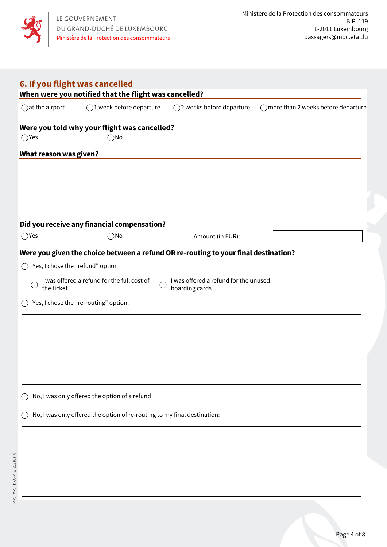

| $\bigcirc$ at the airport          | When were you notified that the flight was cancelled?<br>$\bigcirc$ 1 week before departure | ◯2 weeks before departure                                                           | ◯ more than 2 weeks before departure |
|------------------------------------|---------------------------------------------------------------------------------------------|-------------------------------------------------------------------------------------|--------------------------------------|
|                                    |                                                                                             |                                                                                     |                                      |
|                                    | Were you told why your flight was cancelled?                                                |                                                                                     |                                      |
| $\bigcirc$ Yes                     | $\bigcirc$ No                                                                               |                                                                                     |                                      |
| <b>What reason was given?</b>      |                                                                                             |                                                                                     |                                      |
|                                    |                                                                                             |                                                                                     |                                      |
|                                    |                                                                                             |                                                                                     |                                      |
|                                    |                                                                                             |                                                                                     |                                      |
|                                    |                                                                                             |                                                                                     |                                      |
|                                    | Did you receive any financial compensation?                                                 |                                                                                     |                                      |
| $\bigcirc$ Yes                     | $\bigcirc$ No                                                                               | Amount (in EUR):                                                                    |                                      |
|                                    |                                                                                             | Were you given the choice between a refund OR re-routing to your final destination? |                                      |
| ◯ Yes, I chose the "refund" option |                                                                                             |                                                                                     |                                      |
| the ticket                         | I was offered a refund for the full cost of                                                 | I was offered a refund for the unused<br>boarding cards                             |                                      |
|                                    | Yes, I chose the "re-routing" option:                                                       |                                                                                     |                                      |
|                                    |                                                                                             |                                                                                     |                                      |
|                                    |                                                                                             |                                                                                     |                                      |
|                                    |                                                                                             |                                                                                     |                                      |
|                                    |                                                                                             |                                                                                     |                                      |
|                                    |                                                                                             |                                                                                     |                                      |
|                                    |                                                                                             |                                                                                     |                                      |
|                                    | No, I was only offered the option of a refund                                               |                                                                                     |                                      |
|                                    | No, I was only offered the option of re-routing to my final destination:                    |                                                                                     |                                      |
|                                    |                                                                                             |                                                                                     |                                      |
|                                    |                                                                                             |                                                                                     |                                      |
|                                    |                                                                                             |                                                                                     |                                      |
|                                    |                                                                                             |                                                                                     |                                      |
|                                    |                                                                                             |                                                                                     |                                      |
|                                    |                                                                                             |                                                                                     |                                      |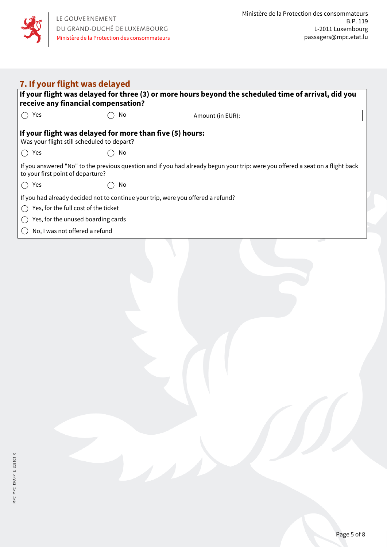

| 7. If your flight was delayed                                                                                                                                       |                                                          |                  |  |  |  |
|---------------------------------------------------------------------------------------------------------------------------------------------------------------------|----------------------------------------------------------|------------------|--|--|--|
| If your flight was delayed for three (3) or more hours beyond the scheduled time of arrival, did you<br>receive any financial compensation?                         |                                                          |                  |  |  |  |
| Yes<br>$\left( \quad \right)$                                                                                                                                       | No                                                       | Amount (in EUR): |  |  |  |
|                                                                                                                                                                     |                                                          |                  |  |  |  |
|                                                                                                                                                                     | If your flight was delayed for more than five (5) hours: |                  |  |  |  |
| Was your flight still scheduled to depart?                                                                                                                          |                                                          |                  |  |  |  |
| Yes<br>$\hspace{0.1in}$                                                                                                                                             | No                                                       |                  |  |  |  |
| If you answered "No" to the previous question and if you had already begun your trip: were you offered a seat on a flight back<br>to your first point of departure? |                                                          |                  |  |  |  |
| Yes<br>$($ )                                                                                                                                                        | No                                                       |                  |  |  |  |
| If you had already decided not to continue your trip, were you offered a refund?                                                                                    |                                                          |                  |  |  |  |
| Yes, for the full cost of the ticket                                                                                                                                |                                                          |                  |  |  |  |
| Yes, for the unused boarding cards                                                                                                                                  |                                                          |                  |  |  |  |
| No, I was not offered a refund                                                                                                                                      |                                                          |                  |  |  |  |
|                                                                                                                                                                     |                                                          |                  |  |  |  |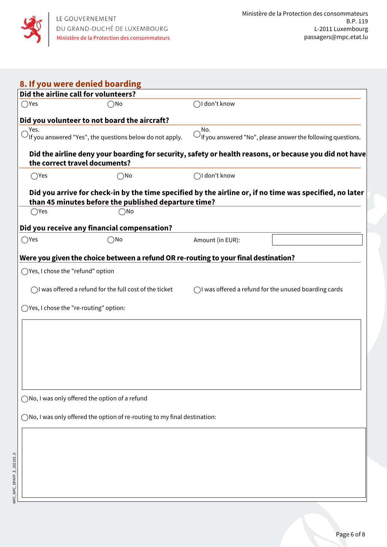

|                                   | Did the airline call for volunteers?                                                                                                                            |                        |                                                                         |
|-----------------------------------|-----------------------------------------------------------------------------------------------------------------------------------------------------------------|------------------------|-------------------------------------------------------------------------|
| $\bigcirc$ Yes                    | ∋No                                                                                                                                                             | $\bigcap$ I don't know |                                                                         |
|                                   | Did you volunteer to not board the aircraft?                                                                                                                    |                        |                                                                         |
| Yes.                              | If you answered "Yes", the questions below do not apply.                                                                                                        | No.                    | $\bigcirc$ if you answered "No", please answer the following questions. |
|                                   |                                                                                                                                                                 |                        |                                                                         |
|                                   | Did the airline deny your boarding for security, safety or health reasons, or because you did not have<br>the correct travel documents?                         |                        |                                                                         |
| $\bigcirc$ Yes                    | $\bigcirc$ No                                                                                                                                                   | $\bigcap$ I don't know |                                                                         |
|                                   | Did you arrive for check-in by the time specified by the airline or, if no time was specified, no later<br>than 45 minutes before the published departure time? |                        |                                                                         |
| $\bigcirc$ Yes                    | $\bigcirc$ No                                                                                                                                                   |                        |                                                                         |
|                                   | Did you receive any financial compensation?                                                                                                                     |                        |                                                                         |
| $\bigcirc$ Yes                    | $\bigcirc$ No                                                                                                                                                   | Amount (in EUR):       |                                                                         |
|                                   |                                                                                                                                                                 |                        |                                                                         |
|                                   | Were you given the choice between a refund OR re-routing to your final destination?                                                                             |                        |                                                                         |
| ◯Yes, I chose the "refund" option |                                                                                                                                                                 |                        |                                                                         |
|                                   | $\bigcap$ I was offered a refund for the full cost of the ticket                                                                                                |                        | $\bigcirc$ was offered a refund for the unused boarding cards           |
|                                   |                                                                                                                                                                 |                        |                                                                         |
|                                   | ) Yes, I chose the "re-routing" option:                                                                                                                         |                        |                                                                         |
|                                   |                                                                                                                                                                 |                        |                                                                         |
|                                   |                                                                                                                                                                 |                        |                                                                         |
|                                   |                                                                                                                                                                 |                        |                                                                         |
|                                   |                                                                                                                                                                 |                        |                                                                         |
|                                   |                                                                                                                                                                 |                        |                                                                         |
|                                   |                                                                                                                                                                 |                        |                                                                         |
|                                   |                                                                                                                                                                 |                        |                                                                         |
|                                   | No, I was only offered the option of a refund                                                                                                                   |                        |                                                                         |
|                                   | )No, I was only offered the option of re-routing to my final destination:                                                                                       |                        |                                                                         |
|                                   |                                                                                                                                                                 |                        |                                                                         |
|                                   |                                                                                                                                                                 |                        |                                                                         |
|                                   |                                                                                                                                                                 |                        |                                                                         |
|                                   |                                                                                                                                                                 |                        |                                                                         |
|                                   |                                                                                                                                                                 |                        |                                                                         |
|                                   |                                                                                                                                                                 |                        |                                                                         |
|                                   |                                                                                                                                                                 |                        |                                                                         |

Page 6 of 8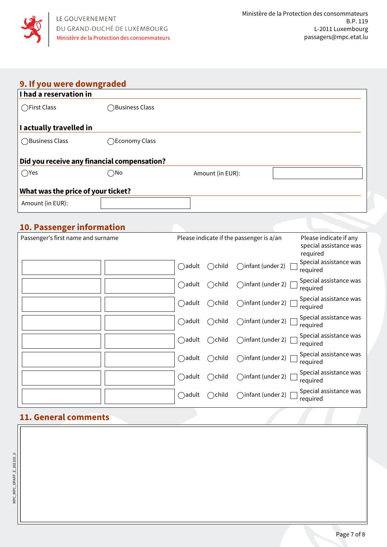

## **9. If you were downgraded**

| I had a reservation in             |                                             |                  |  |  |
|------------------------------------|---------------------------------------------|------------------|--|--|
| ◯First Class                       | <b>Business Class</b>                       |                  |  |  |
| I actually travelled in            |                                             |                  |  |  |
| ◯Business Class                    | ◯Economy Class                              |                  |  |  |
|                                    | Did you receive any financial compensation? |                  |  |  |
| $\bigcirc$ Yes                     | $\bigcirc$ No                               | Amount (in EUR): |  |  |
| What was the price of your ticket? |                                             |                  |  |  |
| Amount (in EUR):                   |                                             |                  |  |  |

## **10. Passenger information**

| Passenger's first name and surname |                  |                  | Please indicate if the passenger is a/an | Please indicate if any<br>special assistance was<br>required |
|------------------------------------|------------------|------------------|------------------------------------------|--------------------------------------------------------------|
|                                    | $\bigcirc$ adult | $\bigcirc$ child | $\bigcap$ infant (under 2)               | Special assistance was<br>required                           |
|                                    | $\bigcirc$ adult | $\bigcirc$ child | $\bigcap$ infant (under 2) $\bigcap$     | Special assistance was<br>required                           |
|                                    | $\bigcirc$ adult | $\bigcirc$ child | $\bigcap$ infant (under 2) $\bigcap$     | Special assistance was<br>required                           |
|                                    | $\bigcirc$ adult | $\bigcirc$ child | $\bigcap$ infant (under 2) $\bigcap$     | Special assistance was<br>required                           |
|                                    | $\bigcirc$ adult | $\bigcirc$ child | $\bigcap$ infant (under 2) $\bigcap$     | Special assistance was<br>required                           |
|                                    | $\bigcirc$ adult | $\bigcirc$ child | $\bigcap$ infant (under 2) $\bigcap$     | Special assistance was<br>required                           |
|                                    | $\bigcap$ adult  | $\bigcirc$ child | $\bigcap$ infant (under 2) $\bigcap$     | Special assistance was<br>required                           |
|                                    | $\bigcirc$ adult | $\bigcirc$ child | $\bigcap$ infant (under 2) $\bigcap$     | Special assistance was<br>required                           |

## **11. General comments**